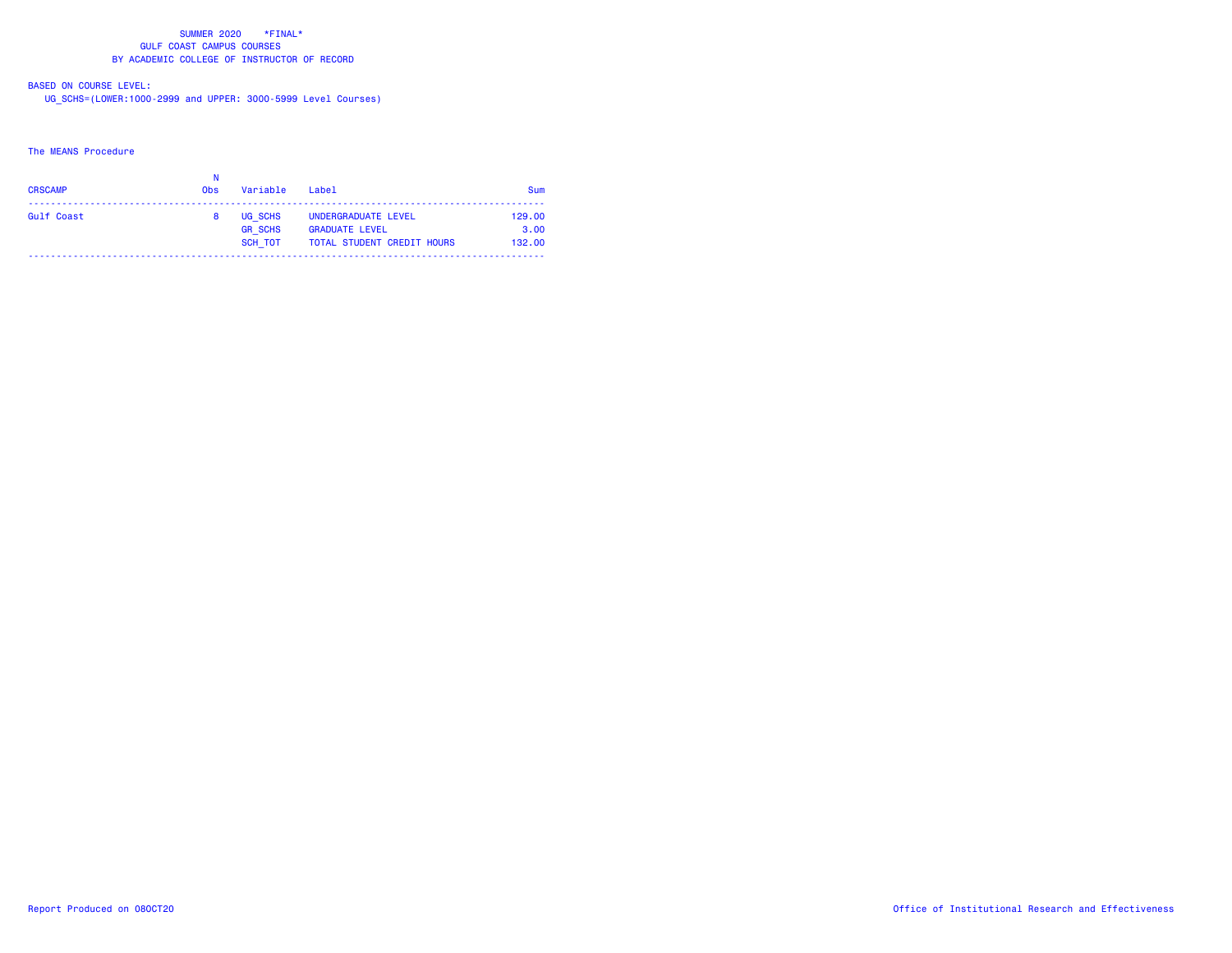# BASED ON COURSE LEVEL:

UG\_SCHS=(LOWER:1000-2999 and UPPER: 3000-5999 Level Courses)

### The MEANS Procedure

| <b>CRSCAMP</b> | <b>Obs</b> | Variable                             | Label                                                                             | Sum                      |
|----------------|------------|--------------------------------------|-----------------------------------------------------------------------------------|--------------------------|
| Gulf Coast     |            | UG SCHS<br><b>GR SCHS</b><br>SCH TOT | UNDERGRADUATE LEVEL<br><b>GRADUATE LEVEL</b><br><b>TOTAL STUDENT CREDIT HOURS</b> | 129.00<br>3.00<br>132.00 |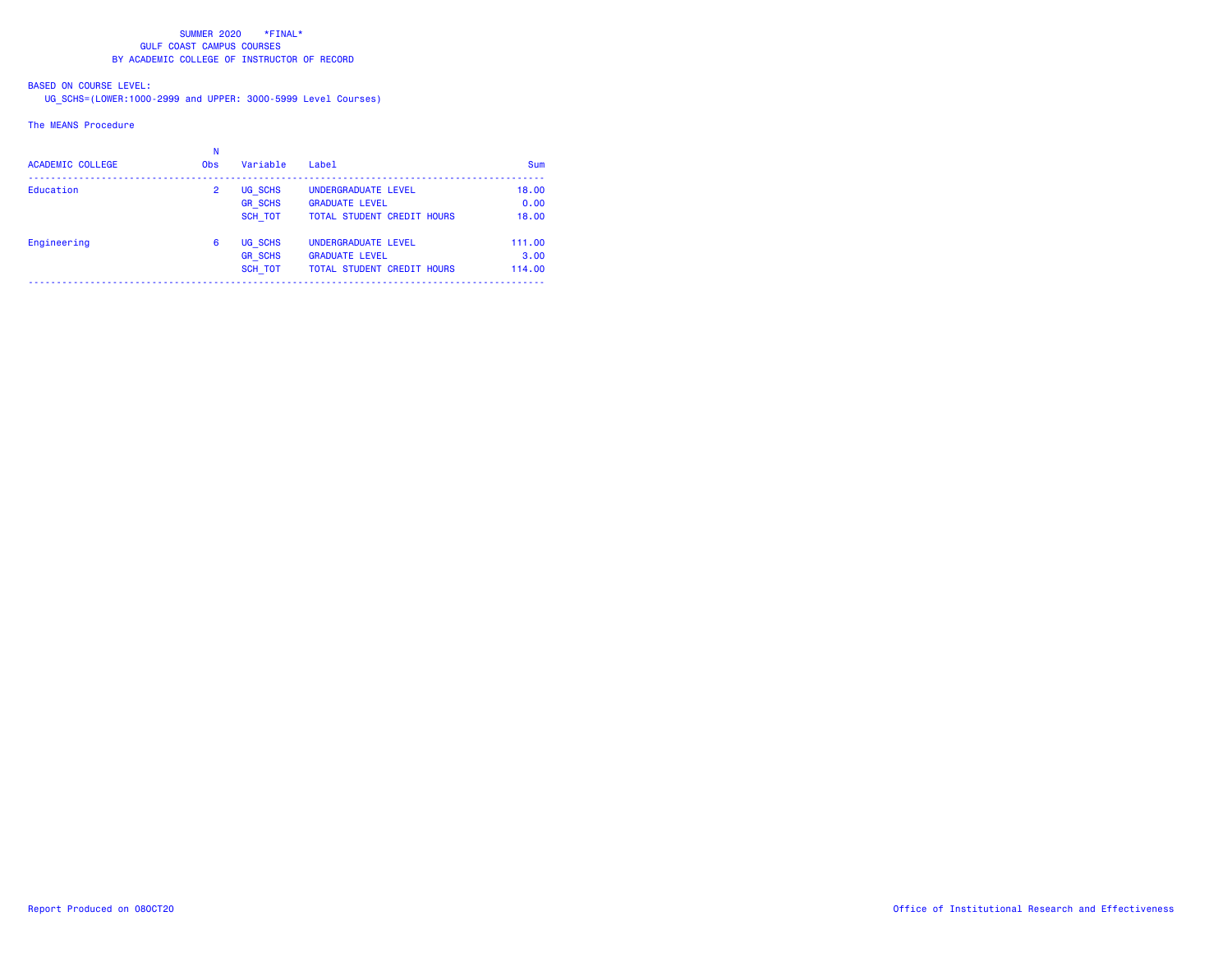# BASED ON COURSE LEVEL:

UG\_SCHS=(LOWER:1000-2999 and UPPER: 3000-5999 Level Courses)

#### The MEANS Procedure

| Sum    |
|--------|
| 18,00  |
| 0.00   |
| 18,00  |
| 111.00 |
| 3.00   |
| 114,00 |
|        |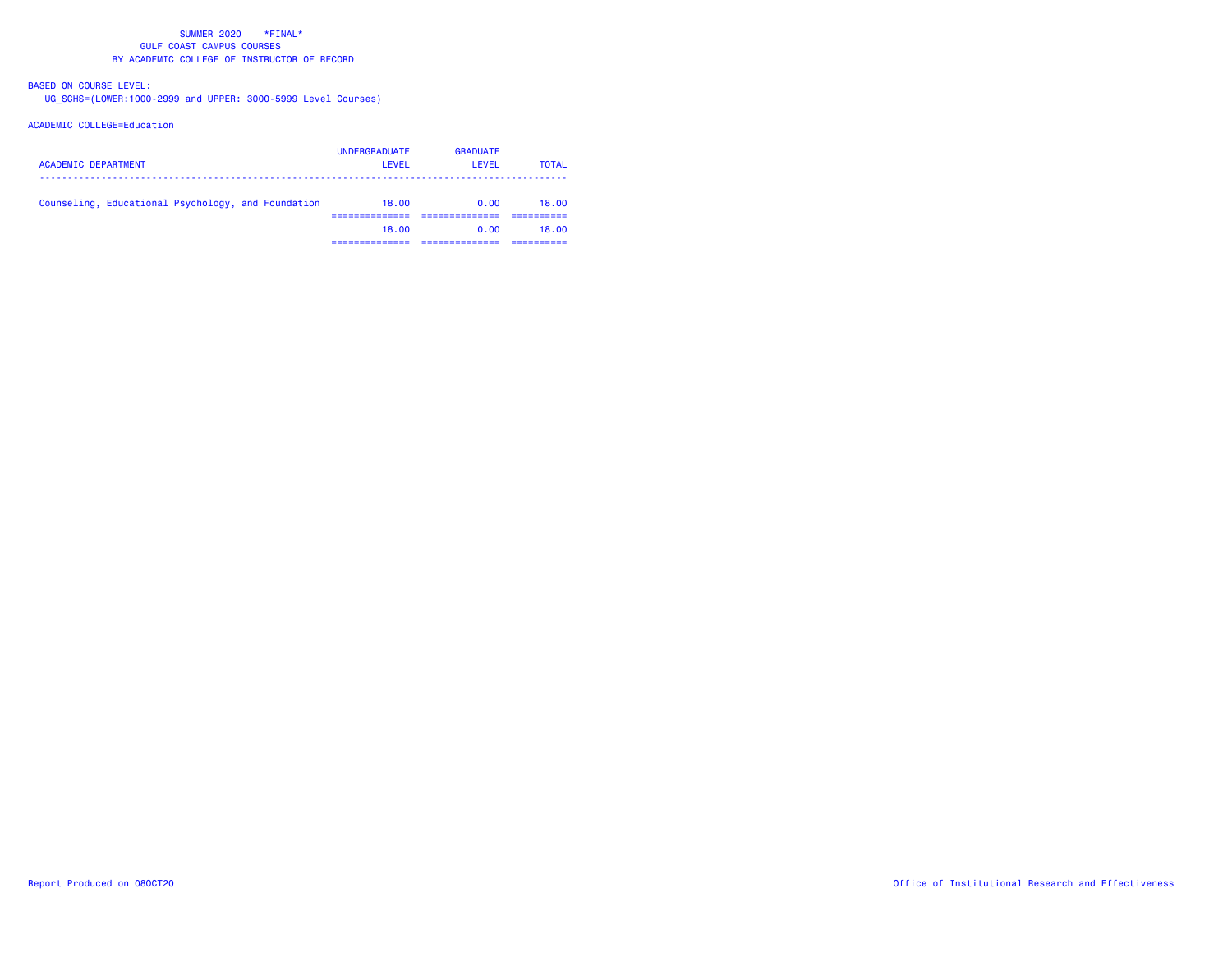# BASED ON COURSE LEVEL:

UG\_SCHS=(LOWER:1000-2999 and UPPER: 3000-5999 Level Courses)

## ACADEMIC COLLEGE=Education

| <b>ACADEMIC DEPARTMENT</b>                         | <b>UNDERGRADUATE</b><br>LEVEL | <b>GRADUATE</b><br>LEVEL | <b>TOTAL</b> |
|----------------------------------------------------|-------------------------------|--------------------------|--------------|
| Counseling, Educational Psychology, and Foundation | 18.00                         | 0.00                     | 18.00        |
|                                                    | 18.00                         | 0.00                     | 18.00        |
|                                                    |                               |                          |              |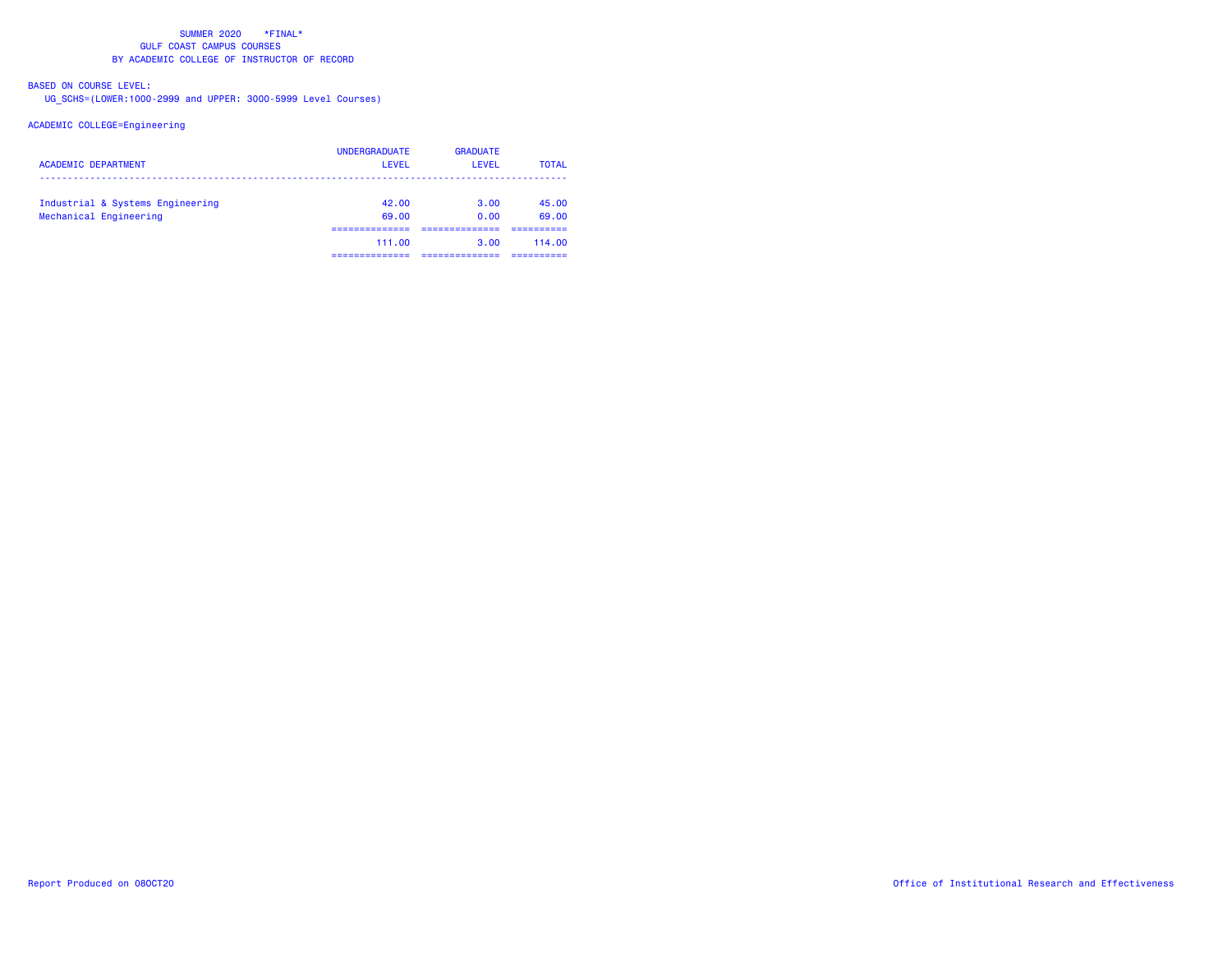# BASED ON COURSE LEVEL:

UG\_SCHS=(LOWER:1000-2999 and UPPER: 3000-5999 Level Courses)

## ACADEMIC COLLEGE=Engineering

| <b>ACADEMIC DEPARTMENT</b>                                 | <b>UNDERGRADUATE</b><br>LEVEL | <b>GRADUATE</b><br>LEVEL | <b>TOTAL</b>   |
|------------------------------------------------------------|-------------------------------|--------------------------|----------------|
| Industrial & Systems Engineering<br>Mechanical Engineering | 42.00<br>69.00                | 3.00<br>0.00             | 45.00<br>69.00 |
|                                                            | 111.00                        | 3.00                     | 114.00         |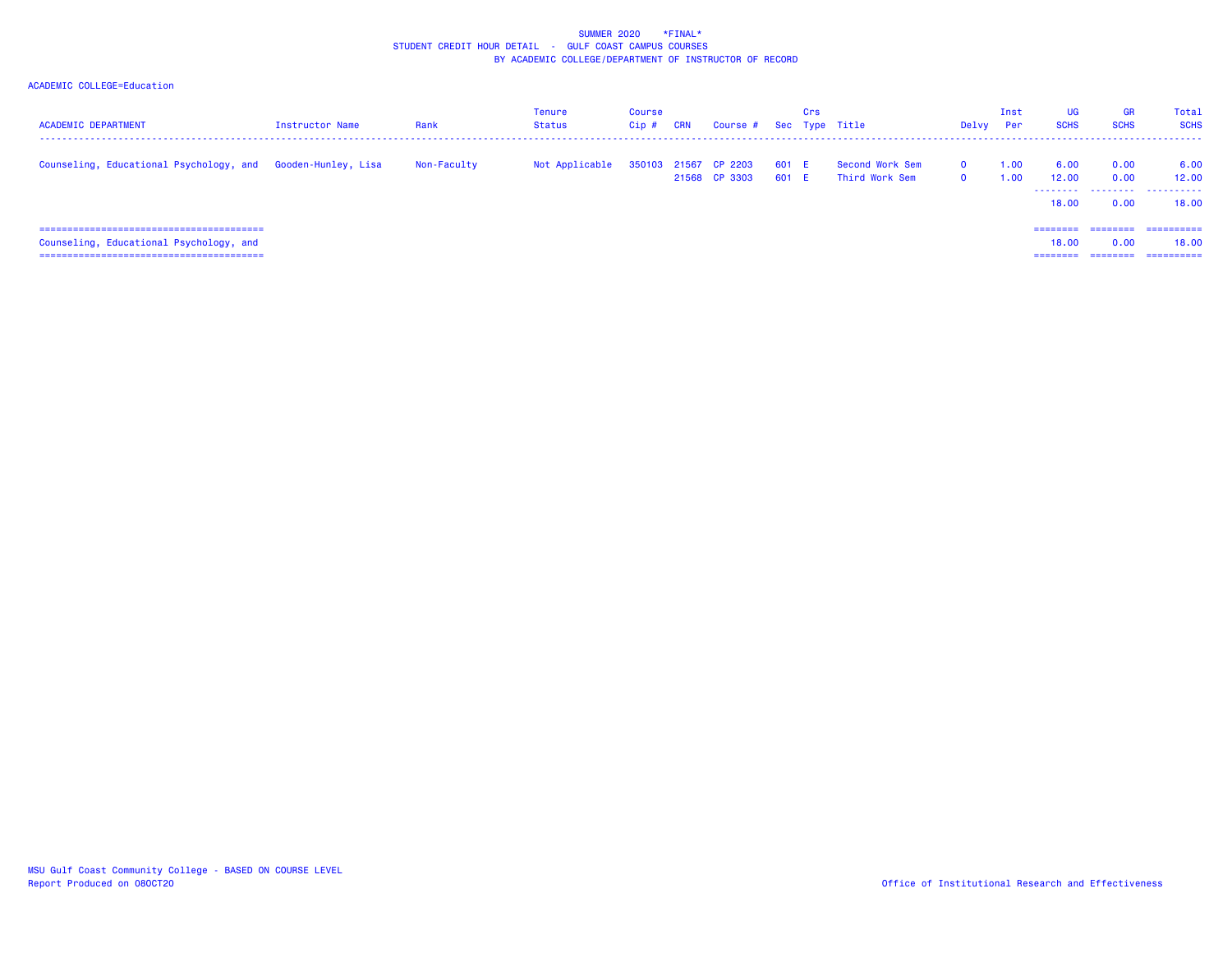### SUMMER 2020 \*FINAL\* STUDENT CREDIT HOUR DETAIL - GULF COAST CAMPUS COURSESBY ACADEMIC COLLEGE/DEPARTMENT OF INSTRUCTOR OF RECORD

## ACADEMIC COLLEGE=Education

| <b>ACADEMIC DEPARTMENT</b>                                  | <b>Instructor Name</b> | Rank        | <b>Tenure</b><br>Status | Course<br>Cip# | CRN | Course # Sec Type Title               |                | Crs |                                   | Delvy                | Inst<br>Per  | <b>UG</b><br><b>SCHS</b> | <b>GR</b><br><b>SCHS</b> | Total<br><b>SCHS</b> |
|-------------------------------------------------------------|------------------------|-------------|-------------------------|----------------|-----|---------------------------------------|----------------|-----|-----------------------------------|----------------------|--------------|--------------------------|--------------------------|----------------------|
| Counseling, Educational Psychology, and Gooden-Hunley, Lisa |                        | Non-Faculty | Not Applicable          |                |     | 350103 21567 CP 2203<br>21568 CP 3303 | 601 E<br>601 E |     | Second Work Sem<br>Third Work Sem | $\Omega$<br>$\Omega$ | 1.00<br>1.00 | 6.00<br>12,00<br>.       | 0.00<br>0.00<br>.        | 6.00<br>12.00<br>.   |
|                                                             |                        |             |                         |                |     |                                       |                |     |                                   |                      |              | 18,00                    | 0.00                     | 18.00                |
|                                                             |                        |             |                         |                |     |                                       |                |     |                                   |                      |              | ========                 | ========                 | -----------          |
| Counseling, Educational Psychology, and                     |                        |             |                         |                |     |                                       |                |     |                                   |                      |              | 18.00                    | 0.00                     | 18.00                |
|                                                             |                        |             |                         |                |     |                                       |                |     |                                   |                      |              | ========                 | ========                 | ==========           |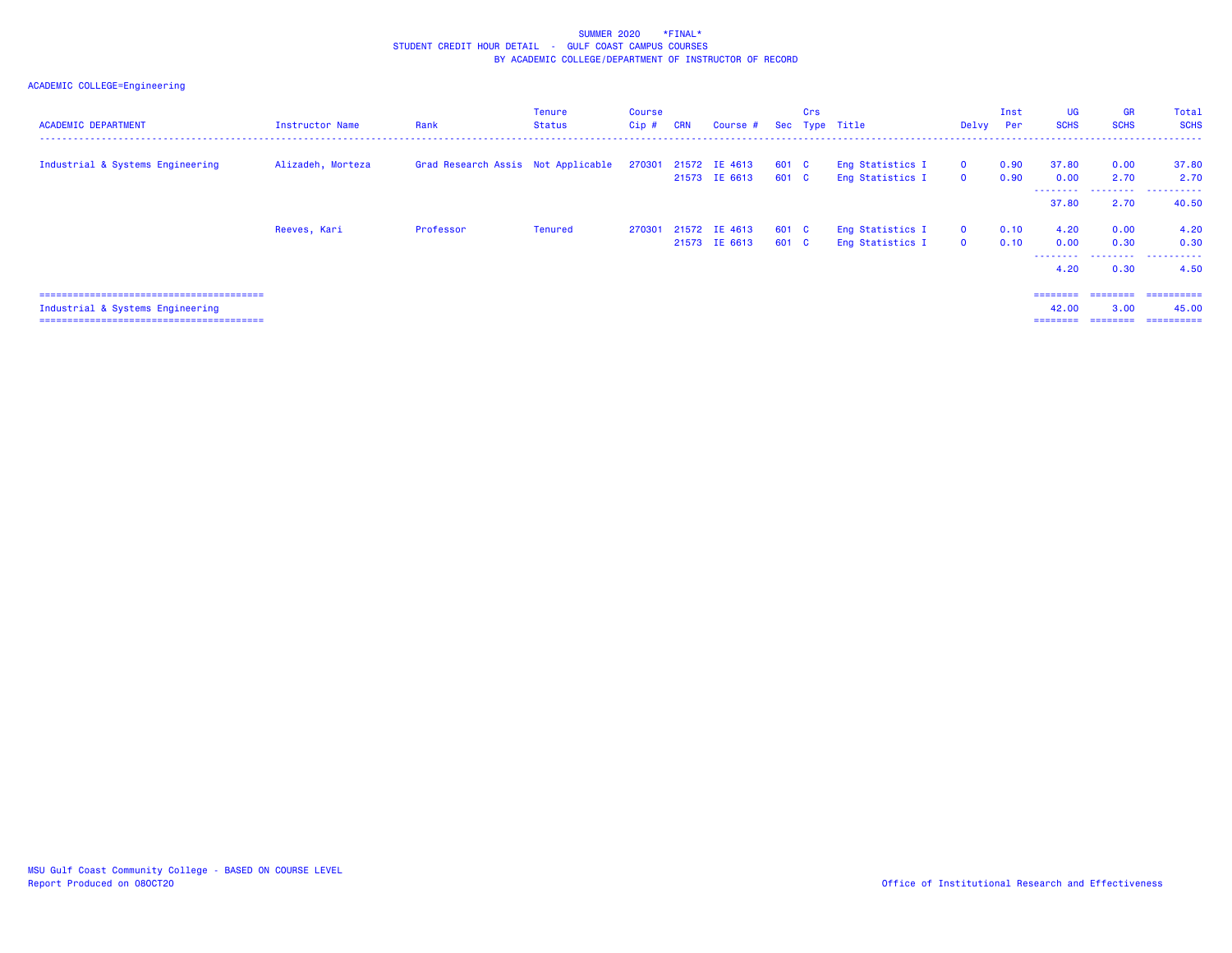### SUMMER 2020 \*FINAL\* STUDENT CREDIT HOUR DETAIL - GULF COAST CAMPUS COURSESBY ACADEMIC COLLEGE/DEPARTMENT OF INSTRUCTOR OF RECORD

# ACADEMIC COLLEGE=Engineering

| <b>ACADEMIC DEPARTMENT</b>       | <b>Instructor Name</b> | Rank                                                    | <b>Tenure</b><br>Status | <b>Course</b><br>$Cip$ # | <b>CRN</b> | Course #                              |                | Crs | Sec Type Title                       | Delvy Per                    | Inst         | <b>UG</b><br><b>SCHS</b>               | <b>GR</b><br><b>SCHS</b>     | Total<br><b>SCHS</b>              |
|----------------------------------|------------------------|---------------------------------------------------------|-------------------------|--------------------------|------------|---------------------------------------|----------------|-----|--------------------------------------|------------------------------|--------------|----------------------------------------|------------------------------|-----------------------------------|
| Industrial & Systems Engineering | Alizadeh, Morteza      | Grad Research Assis Not Applicable 270301 21572 IE 4613 |                         |                          |            | 21573 IE 6613                         | 601 C<br>601 C |     | Eng Statistics I<br>Eng Statistics I | $\mathbf{0}$<br>$\mathbf{0}$ | 0.90<br>0.90 | 37.80<br>0.00                          | 0.00<br>2.70                 | 37.80<br>2.70                     |
|                                  |                        |                                                         |                         |                          |            |                                       |                |     |                                      |                              |              | ---------<br>37.80                     | .<br>2.70                    | .<br>40.50                        |
|                                  | Reeves, Kari           | Professor                                               | Tenured                 |                          |            | 270301 21572 IE 4613<br>21573 IE 6613 | 601 C<br>601 C |     | Eng Statistics I<br>Eng Statistics I | $\mathbf{0}$<br>$\mathbf{0}$ | 0.10<br>0.10 | 4.20<br>0.00<br>--------<br>4.20       | 0.00<br>0.30<br>.<br>0.30    | 4.20<br>0.30<br>.<br>4.50         |
| Industrial & Systems Engineering |                        |                                                         |                         |                          |            |                                       |                |     |                                      |                              |              | ========<br>42.00<br>$=$ = = = = = = = | ========<br>3.00<br>======== | ==========<br>45.00<br>========== |